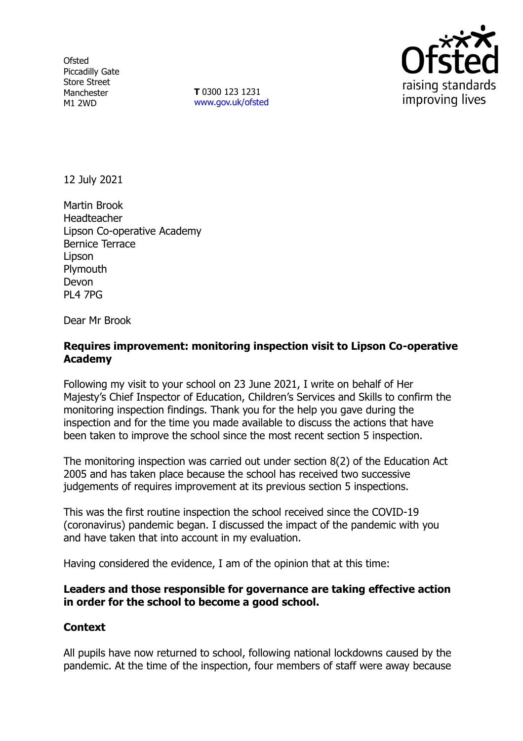**Ofsted** Piccadilly Gate Store Street Manchester M1 2WD

**T** 0300 123 1231 [www.gov.uk/ofsted](http://www.gov.uk/ofsted)



12 July 2021

Martin Brook Headteacher Lipson Co-operative Academy Bernice Terrace Lipson **Plymouth** Devon PL4 7PG

Dear Mr Brook

# **Requires improvement: monitoring inspection visit to Lipson Co-operative Academy**

Following my visit to your school on 23 June 2021, I write on behalf of Her Majesty's Chief Inspector of Education, Children's Services and Skills to confirm the monitoring inspection findings. Thank you for the help you gave during the inspection and for the time you made available to discuss the actions that have been taken to improve the school since the most recent section 5 inspection.

The monitoring inspection was carried out under section 8(2) of the Education Act 2005 and has taken place because the school has received two successive judgements of requires improvement at its previous section 5 inspections.

This was the first routine inspection the school received since the COVID-19 (coronavirus) pandemic began. I discussed the impact of the pandemic with you and have taken that into account in my evaluation.

Having considered the evidence, I am of the opinion that at this time:

## **Leaders and those responsible for governance are taking effective action in order for the school to become a good school.**

## **Context**

All pupils have now returned to school, following national lockdowns caused by the pandemic. At the time of the inspection, four members of staff were away because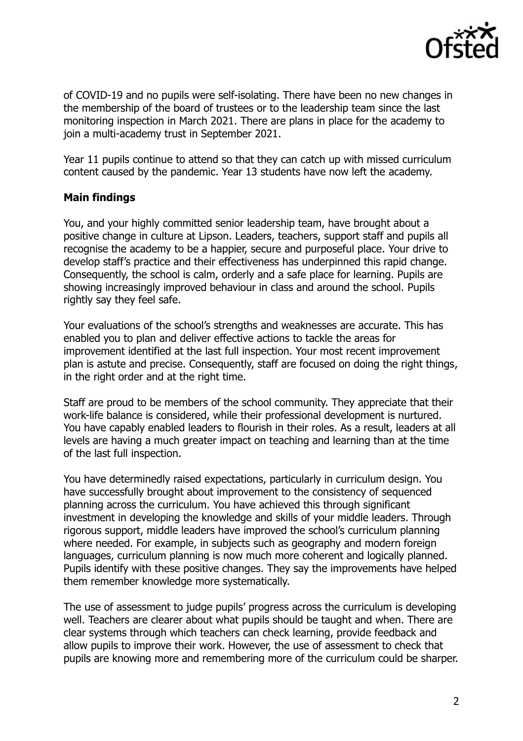

of COVID-19 and no pupils were self-isolating. There have been no new changes in the membership of the board of trustees or to the leadership team since the last monitoring inspection in March 2021. There are plans in place for the academy to join a multi-academy trust in September 2021.

Year 11 pupils continue to attend so that they can catch up with missed curriculum content caused by the pandemic. Year 13 students have now left the academy.

## **Main findings**

You, and your highly committed senior leadership team, have brought about a positive change in culture at Lipson. Leaders, teachers, support staff and pupils all recognise the academy to be a happier, secure and purposeful place. Your drive to develop staff's practice and their effectiveness has underpinned this rapid change. Consequently, the school is calm, orderly and a safe place for learning. Pupils are showing increasingly improved behaviour in class and around the school. Pupils rightly say they feel safe.

Your evaluations of the school's strengths and weaknesses are accurate. This has enabled you to plan and deliver effective actions to tackle the areas for improvement identified at the last full inspection. Your most recent improvement plan is astute and precise. Consequently, staff are focused on doing the right things, in the right order and at the right time.

Staff are proud to be members of the school community. They appreciate that their work-life balance is considered, while their professional development is nurtured. You have capably enabled leaders to flourish in their roles. As a result, leaders at all levels are having a much greater impact on teaching and learning than at the time of the last full inspection.

You have determinedly raised expectations, particularly in curriculum design. You have successfully brought about improvement to the consistency of sequenced planning across the curriculum. You have achieved this through significant investment in developing the knowledge and skills of your middle leaders. Through rigorous support, middle leaders have improved the school's curriculum planning where needed. For example, in subjects such as geography and modern foreign languages, curriculum planning is now much more coherent and logically planned. Pupils identify with these positive changes. They say the improvements have helped them remember knowledge more systematically.

The use of assessment to judge pupils' progress across the curriculum is developing well. Teachers are clearer about what pupils should be taught and when. There are clear systems through which teachers can check learning, provide feedback and allow pupils to improve their work. However, the use of assessment to check that pupils are knowing more and remembering more of the curriculum could be sharper.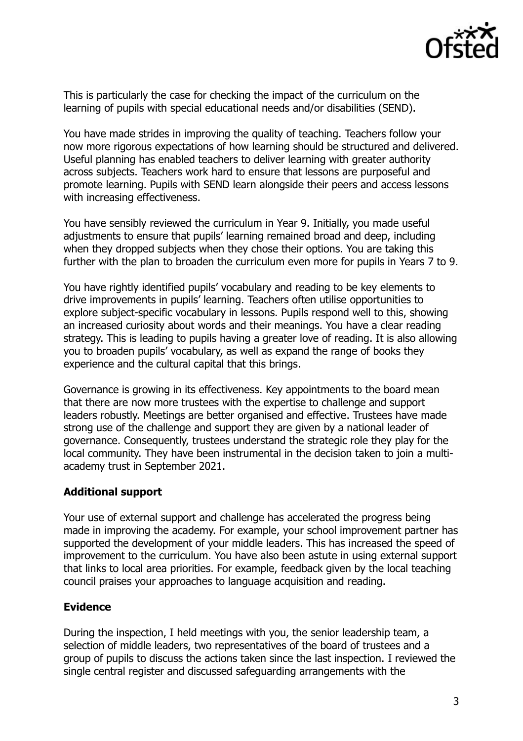

This is particularly the case for checking the impact of the curriculum on the learning of pupils with special educational needs and/or disabilities (SEND).

You have made strides in improving the quality of teaching. Teachers follow your now more rigorous expectations of how learning should be structured and delivered. Useful planning has enabled teachers to deliver learning with greater authority across subjects. Teachers work hard to ensure that lessons are purposeful and promote learning. Pupils with SEND learn alongside their peers and access lessons with increasing effectiveness.

You have sensibly reviewed the curriculum in Year 9. Initially, you made useful adjustments to ensure that pupils' learning remained broad and deep, including when they dropped subjects when they chose their options. You are taking this further with the plan to broaden the curriculum even more for pupils in Years 7 to 9.

You have rightly identified pupils' vocabulary and reading to be key elements to drive improvements in pupils' learning. Teachers often utilise opportunities to explore subject-specific vocabulary in lessons. Pupils respond well to this, showing an increased curiosity about words and their meanings. You have a clear reading strategy. This is leading to pupils having a greater love of reading. It is also allowing you to broaden pupils' vocabulary, as well as expand the range of books they experience and the cultural capital that this brings.

Governance is growing in its effectiveness. Key appointments to the board mean that there are now more trustees with the expertise to challenge and support leaders robustly. Meetings are better organised and effective. Trustees have made strong use of the challenge and support they are given by a national leader of governance. Consequently, trustees understand the strategic role they play for the local community. They have been instrumental in the decision taken to join a multiacademy trust in September 2021.

## **Additional support**

Your use of external support and challenge has accelerated the progress being made in improving the academy. For example, your school improvement partner has supported the development of your middle leaders. This has increased the speed of improvement to the curriculum. You have also been astute in using external support that links to local area priorities. For example, feedback given by the local teaching council praises your approaches to language acquisition and reading.

## **Evidence**

During the inspection, I held meetings with you, the senior leadership team, a selection of middle leaders, two representatives of the board of trustees and a group of pupils to discuss the actions taken since the last inspection. I reviewed the single central register and discussed safeguarding arrangements with the